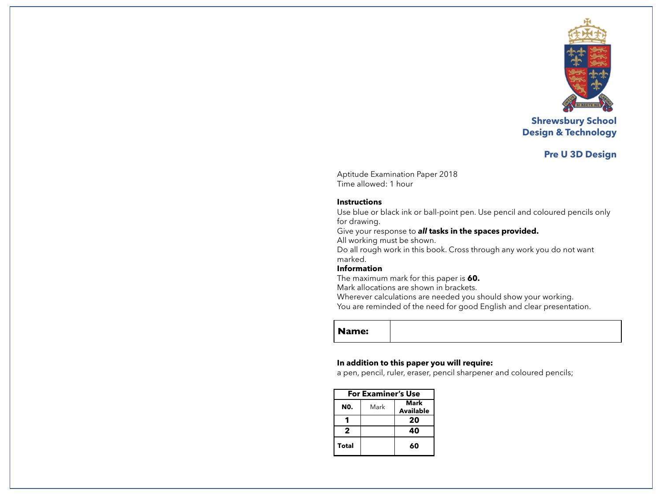

**Shrewsbury School Design & Technology**

# **Pre U 3D Design**

Aptitude Examination Paper 2018 Time allowed: 1 hour

#### **Instructions**

Use blue or black ink or ball-point pen. Use pencil and coloured pencils only for drawing.

Give your response to *all* **tasks in the spaces provided.**

All working must be shown.

Do all rough work in this book. Cross through any work you do not want marked.

# **Information**

The maximum mark for this paper is **60.**

Mark allocations are shown in brackets.

Wherever calculations are needed you should show your working.

You are reminded of the need for good English and clear presentation.

**Name:** 

### **In addition to this paper you will require:**

a pen, pencil, ruler, eraser, pencil sharpener and coloured pencils;

| <b>For Examiner's Use</b> |      |                          |  |
|---------------------------|------|--------------------------|--|
| N0.                       | Mark | Mark<br><b>Available</b> |  |
|                           |      | 20                       |  |
| 2                         |      | 40                       |  |
| <b>Total</b>              |      | 60                       |  |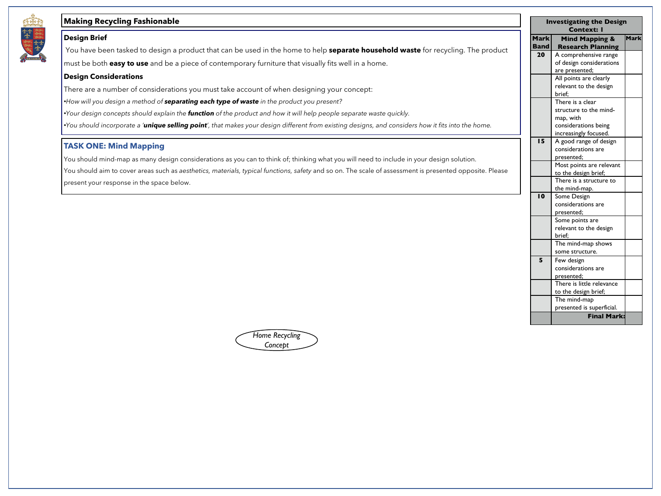

# **Making Recycling Fashionable**

#### **Design Brief**

You have been tasked to design a product that can be used in the home to help **separate household waste** for recycling. The product

must be both **easy to use** and be a piece of contemporary furniture that visually fits well in a home.

#### **Design Considerations**

There are a number of considerations you must take account of when designing your concept:

•*How will you design a method of separating each type of waste in the product you present?*

•*Your design concepts should explain the function of the product and how it will help people separate waste quickly.*

•*You should incorporate a 'unique selling point', that makes your design different from existing designs, and considers how it fits into the home.*

### **TASK ONE: Mind Mapping**

You should mind-map as many design considerations as you can to think of; thinking what you will need to include in your design solution. You should aim to cover areas such as *aesthetics, materials, typical functions, safety* and so on. The scale of assessment is presented opposite. Please present your response in the space below.

*Home Recycling Concept*

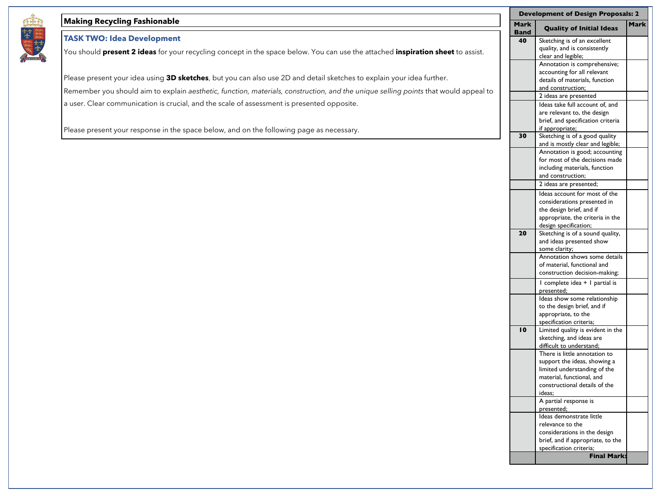## **Making Recycling Fashionable**

# **TASK TWO: Idea Development**

You should **present 2 ideas** for your recycling concept in the space below. You can use the attached **inspiration sheet** to assist.

Please present your idea using **3D sketches**, but you can also use 2D and detail sketches to explain your idea further. Remember you should aim to explain *aesthetic, function, materials, construction, and the unique selling points that would appeal to* a user. Clear communication is crucial, and the scale of assessment is presented opposite.

Please present your response in the space below, and on the following page as necessary.

| <b>Development of Design Proposals: 2</b> |                                   |             |  |
|-------------------------------------------|-----------------------------------|-------------|--|
| <b>Mark</b><br>Band                       | <b>Quality of Initial Ideas</b>   | <b>Mark</b> |  |
| 40                                        | Sketching is of an excellent      |             |  |
|                                           | quality, and is consistently      |             |  |
|                                           | clear and legible;                |             |  |
|                                           | Annotation is comprehensive;      |             |  |
|                                           | accounting for all relevant       |             |  |
|                                           | details of materials, function    |             |  |
|                                           | and construction;                 |             |  |
|                                           | 2 ideas are presented             |             |  |
|                                           | Ideas take full account of, and   |             |  |
|                                           | are relevant to, the design       |             |  |
|                                           | brief, and specification criteria |             |  |
|                                           | if appropriate;                   |             |  |
| 30                                        | Sketching is of a good quality    |             |  |
|                                           | and is mostly clear and legible;  |             |  |
|                                           | Annotation is good; accounting    |             |  |
|                                           | for most of the decisions made    |             |  |
|                                           | including materials, function     |             |  |
|                                           | and construction;                 |             |  |
|                                           | 2 ideas are presented;            |             |  |
|                                           | Ideas account for most of the     |             |  |
|                                           | considerations presented in       |             |  |
|                                           | the design brief, and if          |             |  |
|                                           | appropriate, the criteria in the  |             |  |
|                                           | design specification;             |             |  |
| 20                                        | Sketching is of a sound quality,  |             |  |
|                                           | and ideas presented show          |             |  |
|                                           | some clarity;                     |             |  |
|                                           | Annotation shows some details     |             |  |
|                                           | of material, functional and       |             |  |
|                                           | construction decision-making;     |             |  |
|                                           | I complete idea + I partial is    |             |  |
|                                           | presented;                        |             |  |
|                                           | Ideas show some relationship      |             |  |
|                                           | to the design brief, and if       |             |  |
|                                           | appropriate, to the               |             |  |
|                                           | specification criteria;           |             |  |
| $\mathbf{I}$                              | Limited quality is evident in the |             |  |
|                                           | sketching, and ideas are          |             |  |
|                                           | difficult to understand;          |             |  |
|                                           | There is little annotation to     |             |  |
|                                           | support the ideas, showing a      |             |  |
|                                           | limited understanding of the      |             |  |
|                                           | material, functional, and         |             |  |
|                                           | constructional details of the     |             |  |
|                                           | ideas:                            |             |  |
|                                           | A partial response is             |             |  |
|                                           | presented;                        |             |  |
|                                           | Ideas demonstrate little          |             |  |
|                                           | relevance to the                  |             |  |
|                                           | considerations in the design      |             |  |
|                                           | brief, and if appropriate, to the |             |  |
|                                           | specification criteria;           |             |  |
|                                           | <b>Final Mark:</b>                |             |  |
|                                           |                                   |             |  |